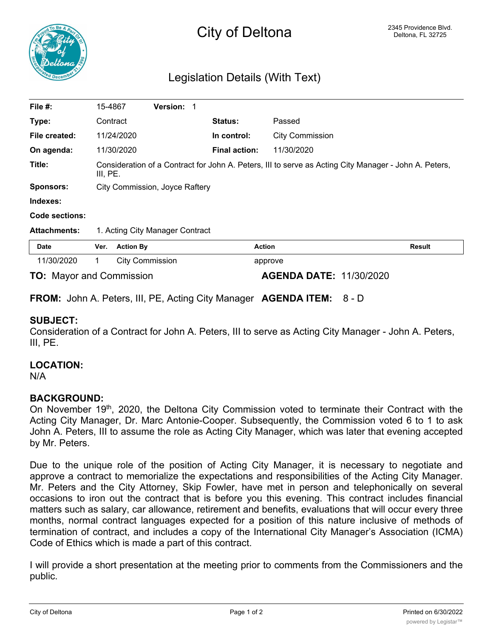

# Legislation Details (With Text)

| File #:                         | 15-4867                                                                                                           |                        | Version: 1 |  |                      |                                |               |  |
|---------------------------------|-------------------------------------------------------------------------------------------------------------------|------------------------|------------|--|----------------------|--------------------------------|---------------|--|
| Type:                           | Contract                                                                                                          |                        |            |  | <b>Status:</b>       | Passed                         |               |  |
| File created:                   |                                                                                                                   | 11/24/2020             |            |  | In control:          | <b>City Commission</b>         |               |  |
| On agenda:                      |                                                                                                                   | 11/30/2020             |            |  | <b>Final action:</b> | 11/30/2020                     |               |  |
| Title:                          | Consideration of a Contract for John A. Peters, III to serve as Acting City Manager - John A. Peters,<br>III, PE. |                        |            |  |                      |                                |               |  |
| <b>Sponsors:</b>                | City Commission, Joyce Raftery                                                                                    |                        |            |  |                      |                                |               |  |
| Indexes:                        |                                                                                                                   |                        |            |  |                      |                                |               |  |
| Code sections:                  |                                                                                                                   |                        |            |  |                      |                                |               |  |
| <b>Attachments:</b>             | 1. Acting City Manager Contract                                                                                   |                        |            |  |                      |                                |               |  |
| <b>Date</b>                     | Ver.                                                                                                              | <b>Action By</b>       |            |  | <b>Action</b>        |                                | <b>Result</b> |  |
| 11/30/2020                      | 1.                                                                                                                | <b>City Commission</b> |            |  | approve              |                                |               |  |
| <b>TO: Mayor and Commission</b> |                                                                                                                   |                        |            |  |                      | <b>AGENDA DATE: 11/30/2020</b> |               |  |

**FROM:** John A. Peters, III, PE, Acting City Manager **AGENDA ITEM:** 8 - D

# **SUBJECT:**

Consideration of a Contract for John A. Peters, III to serve as Acting City Manager - John A. Peters, III, PE.

#### **LOCATION:**

N/A

# **BACKGROUND:**

On November 19<sup>th</sup>, 2020, the Deltona City Commission voted to terminate their Contract with the Acting City Manager, Dr. Marc Antonie-Cooper. Subsequently, the Commission voted 6 to 1 to ask John A. Peters, III to assume the role as Acting City Manager, which was later that evening accepted by Mr. Peters.

Due to the unique role of the position of Acting City Manager, it is necessary to negotiate and approve a contract to memorialize the expectations and responsibilities of the Acting City Manager. Mr. Peters and the City Attorney, Skip Fowler, have met in person and telephonically on several occasions to iron out the contract that is before you this evening. This contract includes financial matters such as salary, car allowance, retirement and benefits, evaluations that will occur every three months, normal contract languages expected for a position of this nature inclusive of methods of termination of contract, and includes a copy of the International City Manager's Association (ICMA) Code of Ethics which is made a part of this contract.

I will provide a short presentation at the meeting prior to comments from the Commissioners and the public.